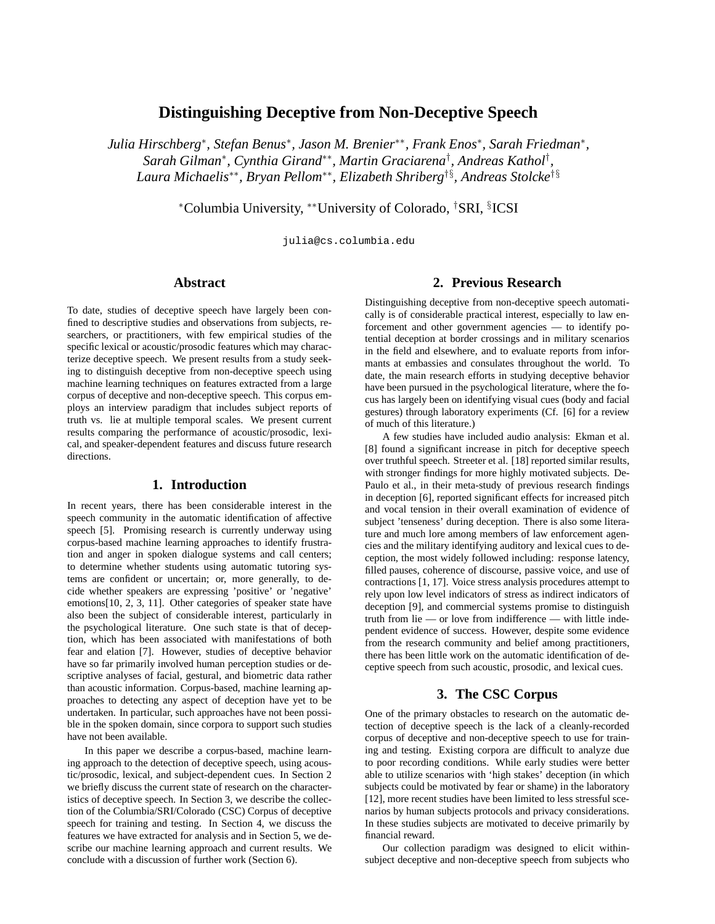# **Distinguishing Deceptive from Non-Deceptive Speech**

*Julia Hirschberg*<sup>∗</sup> *, Stefan Benus*<sup>∗</sup> *, Jason M. Brenier*∗∗*, Frank Enos*<sup>∗</sup> *, Sarah Friedman*<sup>∗</sup> *, Sarah Gilman*<sup>∗</sup> *, Cynthia Girand*∗∗*, Martin Graciarena*† *, Andreas Kathol*† *, Laura Michaelis*∗∗*, Bryan Pellom*∗∗*, Elizabeth Shriberg*†§*, Andreas Stolcke*†§

<sup>∗</sup>Columbia University, ∗∗University of Colorado, †SRI, § ICSI

julia@cs.columbia.edu

## **Abstract**

To date, studies of deceptive speech have largely been confined to descriptive studies and observations from subjects, researchers, or practitioners, with few empirical studies of the specific lexical or acoustic/prosodic features which may characterize deceptive speech. We present results from a study seeking to distinguish deceptive from non-deceptive speech using machine learning techniques on features extracted from a large corpus of deceptive and non-deceptive speech. This corpus employs an interview paradigm that includes subject reports of truth vs. lie at multiple temporal scales. We present current results comparing the performance of acoustic/prosodic, lexical, and speaker-dependent features and discuss future research directions.

## **1. Introduction**

In recent years, there has been considerable interest in the speech community in the automatic identification of affective speech [5]. Promising research is currently underway using corpus-based machine learning approaches to identify frustration and anger in spoken dialogue systems and call centers; to determine whether students using automatic tutoring systems are confident or uncertain; or, more generally, to decide whether speakers are expressing 'positive' or 'negative' emotions[10, 2, 3, 11]. Other categories of speaker state have also been the subject of considerable interest, particularly in the psychological literature. One such state is that of deception, which has been associated with manifestations of both fear and elation [7]. However, studies of deceptive behavior have so far primarily involved human perception studies or descriptive analyses of facial, gestural, and biometric data rather than acoustic information. Corpus-based, machine learning approaches to detecting any aspect of deception have yet to be undertaken. In particular, such approaches have not been possible in the spoken domain, since corpora to support such studies have not been available.

In this paper we describe a corpus-based, machine learning approach to the detection of deceptive speech, using acoustic/prosodic, lexical, and subject-dependent cues. In Section 2 we briefly discuss the current state of research on the characteristics of deceptive speech. In Section 3, we describe the collection of the Columbia/SRI/Colorado (CSC) Corpus of deceptive speech for training and testing. In Section 4, we discuss the features we have extracted for analysis and in Section 5, we describe our machine learning approach and current results. We conclude with a discussion of further work (Section 6).

## **2. Previous Research**

Distinguishing deceptive from non-deceptive speech automatically is of considerable practical interest, especially to law enforcement and other government agencies — to identify potential deception at border crossings and in military scenarios in the field and elsewhere, and to evaluate reports from informants at embassies and consulates throughout the world. To date, the main research efforts in studying deceptive behavior have been pursued in the psychological literature, where the focus has largely been on identifying visual cues (body and facial gestures) through laboratory experiments (Cf. [6] for a review of much of this literature.)

A few studies have included audio analysis: Ekman et al. [8] found a significant increase in pitch for deceptive speech over truthful speech. Streeter et al. [18] reported similar results, with stronger findings for more highly motivated subjects. De-Paulo et al., in their meta-study of previous research findings in deception [6], reported significant effects for increased pitch and vocal tension in their overall examination of evidence of subject 'tenseness' during deception. There is also some literature and much lore among members of law enforcement agencies and the military identifying auditory and lexical cues to deception, the most widely followed including: response latency, filled pauses, coherence of discourse, passive voice, and use of contractions [1, 17]. Voice stress analysis procedures attempt to rely upon low level indicators of stress as indirect indicators of deception [9], and commercial systems promise to distinguish truth from lie — or love from indifference — with little independent evidence of success. However, despite some evidence from the research community and belief among practitioners, there has been little work on the automatic identification of deceptive speech from such acoustic, prosodic, and lexical cues.

## **3. The CSC Corpus**

One of the primary obstacles to research on the automatic detection of deceptive speech is the lack of a cleanly-recorded corpus of deceptive and non-deceptive speech to use for training and testing. Existing corpora are difficult to analyze due to poor recording conditions. While early studies were better able to utilize scenarios with 'high stakes' deception (in which subjects could be motivated by fear or shame) in the laboratory [12], more recent studies have been limited to less stressful scenarios by human subjects protocols and privacy considerations. In these studies subjects are motivated to deceive primarily by financial reward.

Our collection paradigm was designed to elicit withinsubject deceptive and non-deceptive speech from subjects who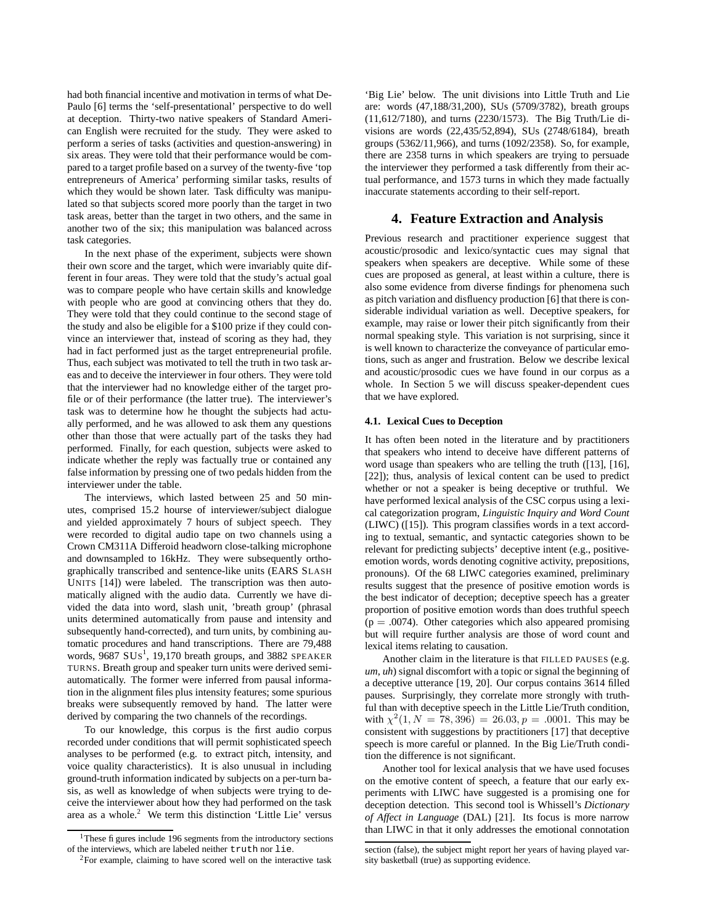had both financial incentive and motivation in terms of what De-Paulo [6] terms the 'self-presentational' perspective to do well at deception. Thirty-two native speakers of Standard American English were recruited for the study. They were asked to perform a series of tasks (activities and question-answering) in six areas. They were told that their performance would be compared to a target profile based on a survey of the twenty-five 'top entrepreneurs of America' performing similar tasks, results of which they would be shown later. Task difficulty was manipulated so that subjects scored more poorly than the target in two task areas, better than the target in two others, and the same in another two of the six; this manipulation was balanced across task categories.

In the next phase of the experiment, subjects were shown their own score and the target, which were invariably quite different in four areas. They were told that the study's actual goal was to compare people who have certain skills and knowledge with people who are good at convincing others that they do. They were told that they could continue to the second stage of the study and also be eligible for a \$100 prize if they could convince an interviewer that, instead of scoring as they had, they had in fact performed just as the target entrepreneurial profile. Thus, each subject was motivated to tell the truth in two task areas and to deceive the interviewer in four others. They were told that the interviewer had no knowledge either of the target profile or of their performance (the latter true). The interviewer's task was to determine how he thought the subjects had actually performed, and he was allowed to ask them any questions other than those that were actually part of the tasks they had performed. Finally, for each question, subjects were asked to indicate whether the reply was factually true or contained any false information by pressing one of two pedals hidden from the interviewer under the table.

The interviews, which lasted between 25 and 50 minutes, comprised 15.2 hourse of interviewer/subject dialogue and yielded approximately 7 hours of subject speech. They were recorded to digital audio tape on two channels using a Crown CM311A Differoid headworn close-talking microphone and downsampled to 16kHz. They were subsequently orthographically transcribed and sentence-like units (EARS SLASH UNITS [14]) were labeled. The transcription was then automatically aligned with the audio data. Currently we have divided the data into word, slash unit, 'breath group' (phrasal units determined automatically from pause and intensity and subsequently hand-corrected), and turn units, by combining automatic procedures and hand transcriptions. There are 79,488 words, 9687 SUs<sup>1</sup>, 19,170 breath groups, and 3882 SPEAKER TURNS. Breath group and speaker turn units were derived semiautomatically. The former were inferred from pausal information in the alignment files plus intensity features; some spurious breaks were subsequently removed by hand. The latter were derived by comparing the two channels of the recordings.

To our knowledge, this corpus is the first audio corpus recorded under conditions that will permit sophisticated speech analyses to be performed (e.g. to extract pitch, intensity, and voice quality characteristics). It is also unusual in including ground-truth information indicated by subjects on a per-turn basis, as well as knowledge of when subjects were trying to deceive the interviewer about how they had performed on the task area as a whole.<sup>2</sup> We term this distinction 'Little Lie' versus 'Big Lie' below. The unit divisions into Little Truth and Lie are: words (47,188/31,200), SUs (5709/3782), breath groups (11,612/7180), and turns (2230/1573). The Big Truth/Lie divisions are words (22,435/52,894), SUs (2748/6184), breath groups (5362/11,966), and turns (1092/2358). So, for example, there are 2358 turns in which speakers are trying to persuade the interviewer they performed a task differently from their actual performance, and 1573 turns in which they made factually inaccurate statements according to their self-report.

## **4. Feature Extraction and Analysis**

Previous research and practitioner experience suggest that acoustic/prosodic and lexico/syntactic cues may signal that speakers when speakers are deceptive. While some of these cues are proposed as general, at least within a culture, there is also some evidence from diverse findings for phenomena such as pitch variation and disfluency production [6] that there is considerable individual variation as well. Deceptive speakers, for example, may raise or lower their pitch significantly from their normal speaking style. This variation is not surprising, since it is well known to characterize the conveyance of particular emotions, such as anger and frustration. Below we describe lexical and acoustic/prosodic cues we have found in our corpus as a whole. In Section 5 we will discuss speaker-dependent cues that we have explored.

#### **4.1. Lexical Cues to Deception**

It has often been noted in the literature and by practitioners that speakers who intend to deceive have different patterns of word usage than speakers who are telling the truth ([13], [16], [22]); thus, analysis of lexical content can be used to predict whether or not a speaker is being deceptive or truthful. We have performed lexical analysis of the CSC corpus using a lexical categorization program, *Linguistic Inquiry and Word Count* (LIWC) ([15]). This program classifies words in a text according to textual, semantic, and syntactic categories shown to be relevant for predicting subjects' deceptive intent (e.g., positiveemotion words, words denoting cognitive activity, prepositions, pronouns). Of the 68 LIWC categories examined, preliminary results suggest that the presence of positive emotion words is the best indicator of deception; deceptive speech has a greater proportion of positive emotion words than does truthful speech  $(p = .0074)$ . Other categories which also appeared promising but will require further analysis are those of word count and lexical items relating to causation.

Another claim in the literature is that FILLED PAUSES (e.g. *um*, *uh*) signal discomfort with a topic or signal the beginning of a deceptive utterance [19, 20]. Our corpus contains 3614 filled pauses. Surprisingly, they correlate more strongly with truthful than with deceptive speech in the Little Lie/Truth condition, with  $\chi^2(1, N = 78, 396) = 26.03, p = .0001$ . This may be consistent with suggestions by practitioners [17] that deceptive speech is more careful or planned. In the Big Lie/Truth condition the difference is not significant.

Another tool for lexical analysis that we have used focuses on the emotive content of speech, a feature that our early experiments with LIWC have suggested is a promising one for deception detection. This second tool is Whissell's *Dictionary of Affect in Language* (DAL) [21]. Its focus is more narrow than LIWC in that it only addresses the emotional connotation

<sup>&</sup>lt;sup>1</sup>These fi gures include 196 segments from the introductory sections of the interviews, which are labeled neither truth nor lie.

<sup>2</sup>For example, claiming to have scored well on the interactive task

section (false), the subject might report her years of having played varsity basketball (true) as supporting evidence.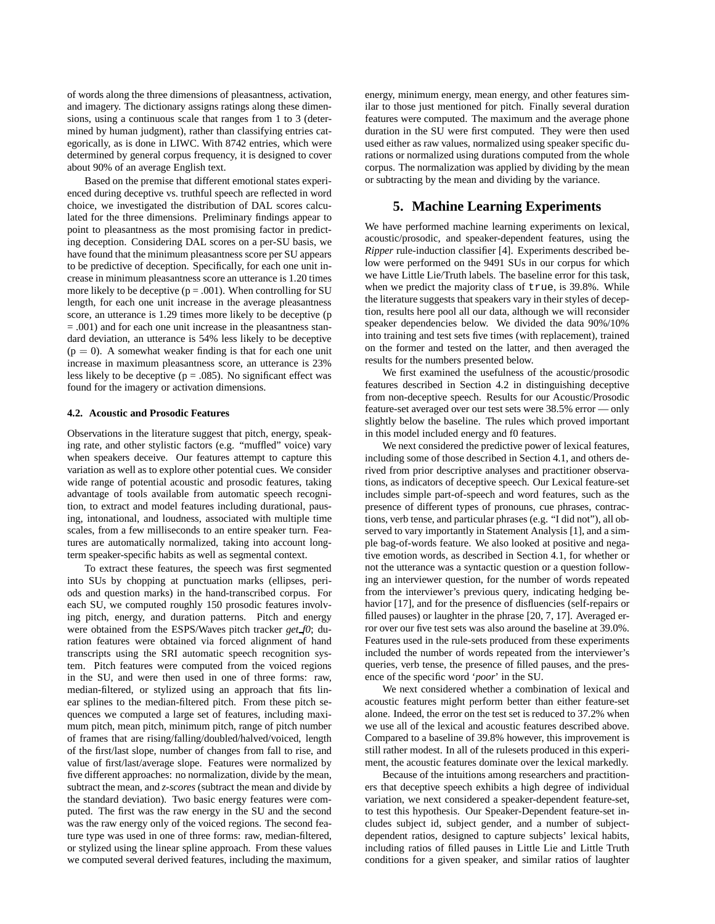of words along the three dimensions of pleasantness, activation, and imagery. The dictionary assigns ratings along these dimensions, using a continuous scale that ranges from 1 to 3 (determined by human judgment), rather than classifying entries categorically, as is done in LIWC. With 8742 entries, which were determined by general corpus frequency, it is designed to cover about 90% of an average English text.

Based on the premise that different emotional states experienced during deceptive vs. truthful speech are reflected in word choice, we investigated the distribution of DAL scores calculated for the three dimensions. Preliminary findings appear to point to pleasantness as the most promising factor in predicting deception. Considering DAL scores on a per-SU basis, we have found that the minimum pleasantness score per SU appears to be predictive of deception. Specifically, for each one unit increase in minimum pleasantness score an utterance is 1.20 times more likely to be deceptive ( $p = .001$ ). When controlling for SU length, for each one unit increase in the average pleasantness score, an utterance is 1.29 times more likely to be deceptive (p = .001) and for each one unit increase in the pleasantness standard deviation, an utterance is 54% less likely to be deceptive  $(p = 0)$ . A somewhat weaker finding is that for each one unit increase in maximum pleasantness score, an utterance is 23% less likely to be deceptive ( $p = .085$ ). No significant effect was found for the imagery or activation dimensions.

#### **4.2. Acoustic and Prosodic Features**

Observations in the literature suggest that pitch, energy, speaking rate, and other stylistic factors (e.g. "muffled" voice) vary when speakers deceive. Our features attempt to capture this variation as well as to explore other potential cues. We consider wide range of potential acoustic and prosodic features, taking advantage of tools available from automatic speech recognition, to extract and model features including durational, pausing, intonational, and loudness, associated with multiple time scales, from a few milliseconds to an entire speaker turn. Features are automatically normalized, taking into account longterm speaker-specific habits as well as segmental context.

To extract these features, the speech was first segmented into SUs by chopping at punctuation marks (ellipses, periods and question marks) in the hand-transcribed corpus. For each SU, we computed roughly 150 prosodic features involving pitch, energy, and duration patterns. Pitch and energy were obtained from the ESPS/Waves pitch tracker *get f0*; duration features were obtained via forced alignment of hand transcripts using the SRI automatic speech recognition system. Pitch features were computed from the voiced regions in the SU, and were then used in one of three forms: raw, median-filtered, or stylized using an approach that fits linear splines to the median-filtered pitch. From these pitch sequences we computed a large set of features, including maximum pitch, mean pitch, minimum pitch, range of pitch number of frames that are rising/falling/doubled/halved/voiced, length of the first/last slope, number of changes from fall to rise, and value of first/last/average slope. Features were normalized by five different approaches: no normalization, divide by the mean, subtract the mean, and *z-scores* (subtract the mean and divide by the standard deviation). Two basic energy features were computed. The first was the raw energy in the SU and the second was the raw energy only of the voiced regions. The second feature type was used in one of three forms: raw, median-filtered, or stylized using the linear spline approach. From these values we computed several derived features, including the maximum, energy, minimum energy, mean energy, and other features similar to those just mentioned for pitch. Finally several duration features were computed. The maximum and the average phone duration in the SU were first computed. They were then used used either as raw values, normalized using speaker specific durations or normalized using durations computed from the whole corpus. The normalization was applied by dividing by the mean or subtracting by the mean and dividing by the variance.

### **5. Machine Learning Experiments**

We have performed machine learning experiments on lexical, acoustic/prosodic, and speaker-dependent features, using the *Ripper* rule-induction classifier [4]. Experiments described below were performed on the 9491 SUs in our corpus for which we have Little Lie/Truth labels. The baseline error for this task, when we predict the majority class of true, is 39.8%. While the literature suggests that speakers vary in their styles of deception, results here pool all our data, although we will reconsider speaker dependencies below. We divided the data 90%/10% into training and test sets five times (with replacement), trained on the former and tested on the latter, and then averaged the results for the numbers presented below.

We first examined the usefulness of the acoustic/prosodic features described in Section 4.2 in distinguishing deceptive from non-deceptive speech. Results for our Acoustic/Prosodic feature-set averaged over our test sets were 38.5% error — only slightly below the baseline. The rules which proved important in this model included energy and f0 features.

We next considered the predictive power of lexical features, including some of those described in Section 4.1, and others derived from prior descriptive analyses and practitioner observations, as indicators of deceptive speech. Our Lexical feature-set includes simple part-of-speech and word features, such as the presence of different types of pronouns, cue phrases, contractions, verb tense, and particular phrases (e.g. "I did not"), all observed to vary importantly in Statement Analysis [1], and a simple bag-of-words feature. We also looked at positive and negative emotion words, as described in Section 4.1, for whether or not the utterance was a syntactic question or a question following an interviewer question, for the number of words repeated from the interviewer's previous query, indicating hedging behavior [17], and for the presence of disfluencies (self-repairs or filled pauses) or laughter in the phrase [20, 7, 17]. Averaged error over our five test sets was also around the baseline at 39.0%. Features used in the rule-sets produced from these experiments included the number of words repeated from the interviewer's queries, verb tense, the presence of filled pauses, and the presence of the specific word '*poor*' in the SU.

We next considered whether a combination of lexical and acoustic features might perform better than either feature-set alone. Indeed, the error on the test set is reduced to 37.2% when we use all of the lexical and acoustic features described above. Compared to a baseline of 39.8% however, this improvement is still rather modest. In all of the rulesets produced in this experiment, the acoustic features dominate over the lexical markedly.

Because of the intuitions among researchers and practitioners that deceptive speech exhibits a high degree of individual variation, we next considered a speaker-dependent feature-set, to test this hypothesis. Our Speaker-Dependent feature-set includes subject id, subject gender, and a number of subjectdependent ratios, designed to capture subjects' lexical habits, including ratios of filled pauses in Little Lie and Little Truth conditions for a given speaker, and similar ratios of laughter